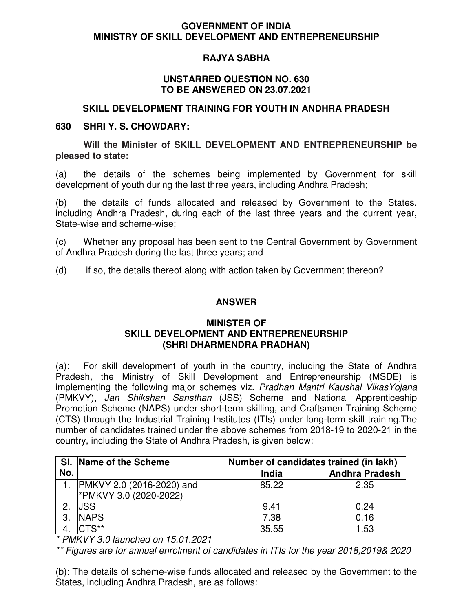### **GOVERNMENT OF INDIA MINISTRY OF SKILL DEVELOPMENT AND ENTREPRENEURSHIP**

# **RAJYA SABHA**

### **UNSTARRED QUESTION NO. 630 TO BE ANSWERED ON 23.07.2021**

## **SKILL DEVELOPMENT TRAINING FOR YOUTH IN ANDHRA PRADESH**

### **630 SHRI Y. S. CHOWDARY:**

**Will the Minister of SKILL DEVELOPMENT AND ENTREPRENEURSHIP be pleased to state:** 

(a) the details of the schemes being implemented by Government for skill development of youth during the last three years, including Andhra Pradesh;

(b) the details of funds allocated and released by Government to the States, including Andhra Pradesh, during each of the last three years and the current year, State-wise and scheme-wise;

(c) Whether any proposal has been sent to the Central Government by Government of Andhra Pradesh during the last three years; and

(d) if so, the details thereof along with action taken by Government thereon?

## **ANSWER**

## **MINISTER OF SKILL DEVELOPMENT AND ENTREPRENEURSHIP (SHRI DHARMENDRA PRADHAN)**

(a): For skill development of youth in the country, including the State of Andhra Pradesh, the Ministry of Skill Development and Entrepreneurship (MSDE) is implementing the following major schemes viz. Pradhan Mantri Kaushal Vikas Yojana (PMKVY), Jan Shikshan Sansthan (JSS) Scheme and National Apprenticeship Promotion Scheme (NAPS) under short-term skilling, and Craftsmen Training Scheme (CTS) through the Industrial Training Institutes (ITIs) under long-term skill training.The number of candidates trained under the above schemes from 2018-19 to 2020-21 in the country, including the State of Andhra Pradesh, is given below:

|     | SI. Name of the Scheme    | Number of candidates trained (in lakh) |                       |  |  |  |
|-----|---------------------------|----------------------------------------|-----------------------|--|--|--|
| No. |                           | <b>India</b>                           | <b>Andhra Pradesh</b> |  |  |  |
|     | PMKVY 2.0 (2016-2020) and | 85.22                                  | 2.35                  |  |  |  |
|     | PMKVY 3.0 (2020-2022)     |                                        |                       |  |  |  |
|     | <b>JSS</b>                | 9.41                                   | 0.24                  |  |  |  |
| 3   | <b>NAPS</b>               | 7.38                                   | 0.16                  |  |  |  |
|     | $CTS**$                   | 35.55                                  | 1.53                  |  |  |  |

\* PMKVY 3.0 launched on 15.01.2021

\*\* Figures are for annual enrolment of candidates in ITIs for the year 2018,2019& 2020

(b): The details of scheme-wise funds allocated and released by the Government to the States, including Andhra Pradesh, are as follows: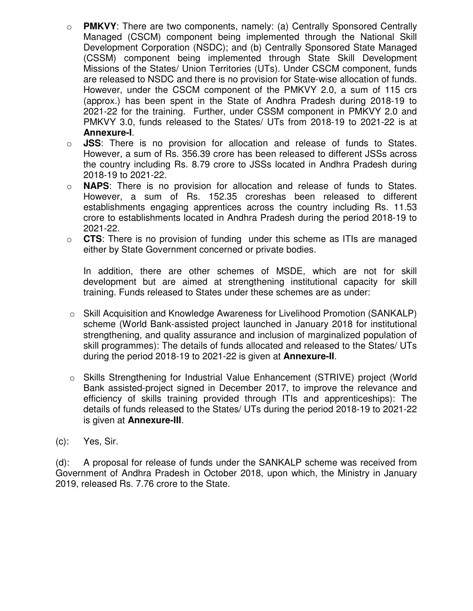- o **PMKVY**: There are two components, namely: (a) Centrally Sponsored Centrally Managed (CSCM) component being implemented through the National Skill Development Corporation (NSDC); and (b) Centrally Sponsored State Managed (CSSM) component being implemented through State Skill Development Missions of the States/ Union Territories (UTs). Under CSCM component, funds are released to NSDC and there is no provision for State-wise allocation of funds. However, under the CSCM component of the PMKVY 2.0, a sum of 115 crs (approx.) has been spent in the State of Andhra Pradesh during 2018-19 to 2021-22 for the training. Further, under CSSM component in PMKVY 2.0 and PMKVY 3.0, funds released to the States/ UTs from 2018-19 to 2021-22 is at **Annexure-I**.
- o **JSS**: There is no provision for allocation and release of funds to States. However, a sum of Rs. 356.39 crore has been released to different JSSs across the country including Rs. 8.79 crore to JSSs located in Andhra Pradesh during 2018-19 to 2021-22.
- o **NAPS**: There is no provision for allocation and release of funds to States. However, a sum of Rs. 152.35 croreshas been released to different establishments engaging apprentices across the country including Rs. 11.53 crore to establishments located in Andhra Pradesh during the period 2018-19 to 2021-22.
- o **CTS**: There is no provision of funding under this scheme as ITIs are managed either by State Government concerned or private bodies.

In addition, there are other schemes of MSDE, which are not for skill development but are aimed at strengthening institutional capacity for skill training. Funds released to States under these schemes are as under:

- o Skill Acquisition and Knowledge Awareness for Livelihood Promotion (SANKALP) scheme (World Bank-assisted project launched in January 2018 for institutional strengthening, and quality assurance and inclusion of marginalized population of skill programmes): The details of funds allocated and released to the States/ UTs during the period 2018-19 to 2021-22 is given at **Annexure-II**.
- o Skills Strengthening for Industrial Value Enhancement (STRIVE) project (World Bank assisted-project signed in December 2017, to improve the relevance and efficiency of skills training provided through ITIs and apprenticeships): The details of funds released to the States/ UTs during the period 2018-19 to 2021-22 is given at **Annexure-III**.
- (c): Yes, Sir.

(d): A proposal for release of funds under the SANKALP scheme was received from Government of Andhra Pradesh in October 2018, upon which, the Ministry in January 2019, released Rs. 7.76 crore to the State.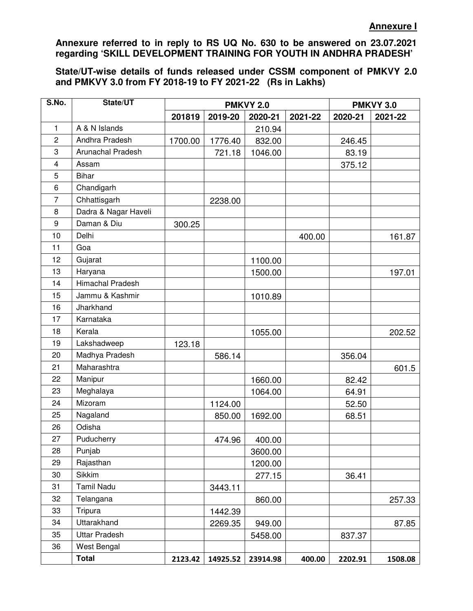**Annexure referred to in reply to RS UQ No. 630 to be answered on 23.07.2021 regarding 'SKILL DEVELOPMENT TRAINING FOR YOUTH IN ANDHRA PRADESH'** 

**State/UT-wise details of funds released under CSSM component of PMKVY 2.0 and PMKVY 3.0 from FY 2018-19 to FY 2021-22 (Rs in Lakhs)** 

| S.No.                   | State/UT                 |         | <b>PMKVY 2.0</b> | <b>PMKVY 3.0</b> |         |         |         |
|-------------------------|--------------------------|---------|------------------|------------------|---------|---------|---------|
|                         |                          | 201819  | 2019-20          | 2020-21          | 2021-22 | 2020-21 | 2021-22 |
| $\mathbf{1}$            | A & N Islands            |         |                  | 210.94           |         |         |         |
| $\overline{c}$          | Andhra Pradesh           | 1700.00 | 1776.40          | 832.00           |         | 246.45  |         |
| 3                       | <b>Arunachal Pradesh</b> |         | 721.18           | 1046.00          |         | 83.19   |         |
| $\overline{\mathbf{4}}$ | Assam                    |         |                  |                  |         | 375.12  |         |
| 5                       | <b>Bihar</b>             |         |                  |                  |         |         |         |
| 6                       | Chandigarh               |         |                  |                  |         |         |         |
| $\overline{7}$          | Chhattisgarh             |         | 2238.00          |                  |         |         |         |
| 8                       | Dadra & Nagar Haveli     |         |                  |                  |         |         |         |
| 9                       | Daman & Diu              | 300.25  |                  |                  |         |         |         |
| 10                      | Delhi                    |         |                  |                  | 400.00  |         | 161.87  |
| 11                      | Goa                      |         |                  |                  |         |         |         |
| 12                      | Gujarat                  |         |                  | 1100.00          |         |         |         |
| 13                      | Haryana                  |         |                  | 1500.00          |         |         | 197.01  |
| 14                      | Himachal Pradesh         |         |                  |                  |         |         |         |
| 15                      | Jammu & Kashmir          |         |                  | 1010.89          |         |         |         |
| 16                      | Jharkhand                |         |                  |                  |         |         |         |
| 17                      | Karnataka                |         |                  |                  |         |         |         |
| 18                      | Kerala                   |         |                  | 1055.00          |         |         | 202.52  |
| 19                      | Lakshadweep              | 123.18  |                  |                  |         |         |         |
| 20                      | Madhya Pradesh           |         | 586.14           |                  |         | 356.04  |         |
| 21                      | Maharashtra              |         |                  |                  |         |         | 601.5   |
| 22                      | Manipur                  |         |                  | 1660.00          |         | 82.42   |         |
| 23                      | Meghalaya                |         |                  | 1064.00          |         | 64.91   |         |
| 24                      | Mizoram                  |         | 1124.00          |                  |         | 52.50   |         |
| 25                      | Nagaland                 |         | 850.00           | 1692.00          |         | 68.51   |         |
| 26                      | Odisha                   |         |                  |                  |         |         |         |
| 27                      | Puducherry               |         | 474.96           | 400.00           |         |         |         |
| 28                      | Punjab                   |         |                  | 3600.00          |         |         |         |
| 29                      | Rajasthan                |         |                  | 1200.00          |         |         |         |
| 30                      | Sikkim                   |         |                  | 277.15           |         | 36.41   |         |
| 31                      | <b>Tamil Nadu</b>        |         | 3443.11          |                  |         |         |         |
| 32                      | Telangana                |         |                  | 860.00           |         |         | 257.33  |
| 33                      | Tripura                  |         | 1442.39          |                  |         |         |         |
| 34                      | Uttarakhand              |         | 2269.35          | 949.00           |         |         | 87.85   |
| 35                      | <b>Uttar Pradesh</b>     |         |                  | 5458.00          |         | 837.37  |         |
| 36                      | West Bengal              |         |                  |                  |         |         |         |
|                         | <b>Total</b>             | 2123.42 | 14925.52         | 23914.98         | 400.00  | 2202.91 | 1508.08 |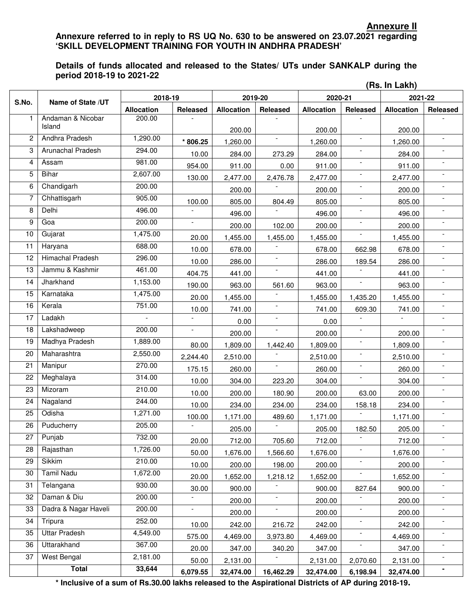#### **Annexure II Annexure referred to in reply to RS UQ No. 630 to be answered on 23.07.2021 regarding 'SKILL DEVELOPMENT TRAINING FOR YOUTH IN ANDHRA PRADESH'**

#### **Details of funds allocated and released to the States/ UTs under SANKALP during the period 2018-19 to 2021-22**

|       | (Rs. In Lakh)               |                   |                          |                   |                          |                   |                          |                   |                          |  |
|-------|-----------------------------|-------------------|--------------------------|-------------------|--------------------------|-------------------|--------------------------|-------------------|--------------------------|--|
| S.No. | Name of State /UT           | 2018-19           |                          | 2019-20           |                          | 2020-21           |                          | 2021-22           |                          |  |
|       |                             | <b>Allocation</b> | Released                 | <b>Allocation</b> | Released                 | <b>Allocation</b> | Released                 | <b>Allocation</b> | Released                 |  |
| 1.    | Andaman & Nicobar<br>Island | 200.00            |                          |                   |                          |                   |                          |                   |                          |  |
| 2     | Andhra Pradesh              | 1,290.00          |                          | 200.00            | $\overline{\phantom{a}}$ | 200.00            | $\overline{\phantom{a}}$ | 200.00            |                          |  |
| 3     | Arunachal Pradesh           | 294.00            | * 806.25                 | 1,260.00          |                          | 1,260.00          |                          | 1,260.00          |                          |  |
|       |                             |                   | 10.00                    | 284.00            | 273.29                   | 284.00            |                          | 284.00            |                          |  |
| 4     | Assam                       | 981.00            | 954.00                   | 911.00            | 0.00                     | 911.00            | $\overline{\phantom{a}}$ | 911.00            |                          |  |
| 5     | <b>Bihar</b>                | 2,607.00          | 130.00                   | 2,477.00          | 2,476.78                 | 2,477.00          |                          | 2,477.00          |                          |  |
| 6     | Chandigarh                  | 200.00            |                          | 200.00            |                          | 200.00            |                          | 200.00            |                          |  |
| 7     | Chhattisgarh                | 905.00            | 100.00                   | 805.00            | 804.49                   | 805.00            | $\overline{\phantom{a}}$ | 805.00            |                          |  |
| 8     | Delhi                       | 496.00            | $\overline{a}$           | 496.00            |                          | 496.00            |                          | 496.00            |                          |  |
| 9     | Goa                         | 200.00            | $\blacksquare$           | 200.00            | 102.00                   | 200.00            | $\overline{\phantom{a}}$ | 200.00            | $\overline{a}$           |  |
| 10    | Gujarat                     | 1,475.00          | 20.00                    | 1,455.00          | 1,455.00                 | 1,455.00          |                          | 1,455.00          |                          |  |
| 11    | Haryana                     | 688.00            | 10.00                    | 678.00            |                          | 678.00            | 662.98                   | 678.00            |                          |  |
| 12    | <b>Himachal Pradesh</b>     | 296.00            | 10.00                    | 286.00            | $\overline{\phantom{a}}$ | 286.00            | 189.54                   | 286.00            |                          |  |
| 13    | Jammu & Kashmir             | 461.00            | 404.75                   | 441.00            | $\overline{\phantom{a}}$ | 441.00            |                          | 441.00            |                          |  |
| 14    | Jharkhand                   | 1,153.00          | 190.00                   | 963.00            | 561.60                   | 963.00            | $\overline{\phantom{a}}$ | 963.00            | $\overline{a}$           |  |
| 15    | Karnataka                   | 1,475.00          | 20.00                    | 1,455.00          |                          | 1,455.00          | 1,435.20                 | 1,455.00          |                          |  |
| 16    | Kerala                      | 751.00            | 10.00                    | 741.00            | $\overline{\phantom{a}}$ | 741.00            | 609.30                   | 741.00            |                          |  |
| 17    | Ladakh                      |                   |                          | 0.00              | $\blacksquare$           | 0.00              |                          |                   |                          |  |
| 18    | Lakshadweep                 | 200.00            | $\overline{\phantom{a}}$ | 200.00            | $\overline{\phantom{a}}$ | 200.00            | $\overline{\phantom{a}}$ | 200.00            |                          |  |
| 19    | Madhya Pradesh              | 1,889.00          | 80.00                    | 1,809.00          | 1,442.40                 | 1,809.00          | ۰                        | 1,809.00          |                          |  |
| 20    | Maharashtra                 | 2,550.00          | 2,244.40                 | 2,510.00          |                          | 2,510.00          |                          | 2,510.00          |                          |  |
| 21    | Manipur                     | 270.00            | 175.15                   | 260.00            | $\blacksquare$           | 260.00            | $\overline{\phantom{a}}$ | 260.00            |                          |  |
| 22    | Meghalaya                   | 314.00            | 10.00                    | 304.00            | 223.20                   | 304.00            |                          | 304.00            |                          |  |
| 23    | Mizoram                     | 210.00            | 10.00                    | 200.00            | 180.90                   | 200.00            | 63.00                    | 200.00            |                          |  |
| 24    | Nagaland                    | 244.00            | 10.00                    | 234.00            | 234.00                   | 234.00            | 158.18                   | 234.00            |                          |  |
| 25    | Odisha                      | 1,271.00          | 100.00                   | 1,171.00          | 489.60                   | 1,171.00          |                          | 1,171.00          |                          |  |
| 26    | Puducherry                  | 205.00            | $\overline{\phantom{a}}$ | 205.00            | $\sim$                   | 205.00            | 182.50                   | 205.00            | $\overline{\phantom{a}}$ |  |
| 27    | Punjab                      | 732.00            | 20.00                    | 712.00            | 705.60                   | 712.00            |                          | 712.00            |                          |  |
| 28    | Rajasthan                   | 1,726.00          | 50.00                    | 1,676.00          | 1,566.60                 | 1,676.00          |                          | 1,676.00          |                          |  |
| 29    | <b>Sikkim</b>               | 210.00            | 10.00                    | 200.00            | 198.00                   | 200.00            |                          | 200.00            |                          |  |
| 30    | <b>Tamil Nadu</b>           | 1,672.00          | 20.00                    | 1,652.00          | 1,218.12                 | 1,652.00          |                          | 1,652.00          |                          |  |
| 31    | Telangana                   | 930.00            | 30.00                    | 900.00            |                          | 900.00            | 827.64                   | 900.00            |                          |  |
| 32    | Daman & Diu                 | 200.00            |                          | 200.00            | $\overline{\phantom{a}}$ | 200.00            |                          | 200.00            |                          |  |
| 33    | Dadra & Nagar Haveli        | 200.00            | $\overline{\phantom{a}}$ | 200.00            | $\overline{\phantom{a}}$ | 200.00            | $\overline{\phantom{a}}$ | 200.00            |                          |  |
| 34    | Tripura                     | 252.00            | 10.00                    | 242.00            | 216.72                   | 242.00            |                          | 242.00            |                          |  |
| 35    | <b>Uttar Pradesh</b>        | 4,549.00          | 575.00                   | 4,469.00          | 3,973.80                 | 4,469.00          |                          | 4,469.00          |                          |  |
| 36    | Uttarakhand                 | 367.00            | 20.00                    | 347.00            | 340.20                   | 347.00            |                          | 347.00            |                          |  |
| 37    | West Bengal                 | 2,181.00          | 50.00                    | 2,131.00          |                          | 2,131.00          | 2,070.60                 | 2,131.00          |                          |  |
|       | <b>Total</b>                | 33,644            | 6,079.55                 | 32,474.00         | 16,462.29                | 32,474.00         | 6,198.94                 | 32,474.00         | $\blacksquare$           |  |
|       |                             |                   |                          |                   |                          |                   |                          |                   |                          |  |

**\* Inclusive of a sum of Rs.30.00 lakhs released to the Aspirational Districts of AP during 2018-19.**